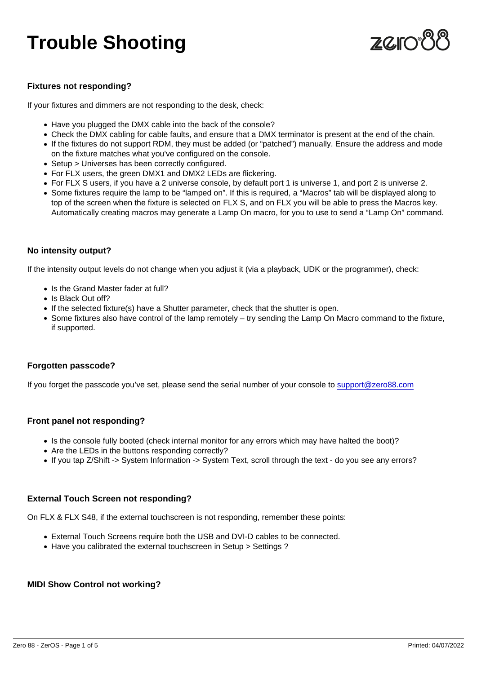# Trouble Shooting

#### Fixtures not responding?

If your fixtures and dimmers are not responding to the desk, check:

- Have you plugged the DMX cable into the back of the console?
- Check the DMX cabling for cable faults, and ensure that a DMX terminator is present at the end of the chain.
- If the fixtures do not support RDM, they must be added (or "patched") manually. Ensure the address and mode on the fixture matches what you've configured on the console.
- Setup > Universes has been correctly configured.
- For FLX users, the green DMX1 and DMX2 LEDs are flickering.
- For FLX S users, if you have a 2 universe console, by default port 1 is universe 1, and port 2 is universe 2.
- Some fixtures require the lamp to be "lamped on". If this is required, a "Macros" tab will be displayed along to top of the screen when the fixture is selected on FLX S, and on FLX you will be able to press the Macros key. Automatically creating macros may generate a Lamp On macro, for you to use to send a "Lamp On" command.

#### No intensity output?

If the intensity output levels do not change when you adjust it (via a playback, UDK or the programmer), check:

- Is the Grand Master fader at full?
- Is Black Out off?
- If the selected fixture(s) have a Shutter parameter, check that the shutter is open.
- Some fixtures also have control of the lamp remotely try sending the Lamp On Macro command to the fixture, if supported.

#### Forgotten passcode?

If you forget the passcode you've set, please send the serial number of your console to [support@zero88.com](mailto:support@zero88.com)

#### Front panel not responding?

- Is the console fully booted (check internal monitor for any errors which may have halted the boot)?
- Are the LEDs in the buttons responding correctly?
- If you tap Z/Shift -> System Information -> System Text, scroll through the text do you see any errors?

#### External Touch Screen not responding?

On FLX & FLX S48, if the external touchscreen is not responding, remember these points:

- External Touch Screens require both the USB and DVI-D cables to be connected.
- Have you calibrated the external touchscreen in Setup > Settings ?

#### MIDI Show Control not working?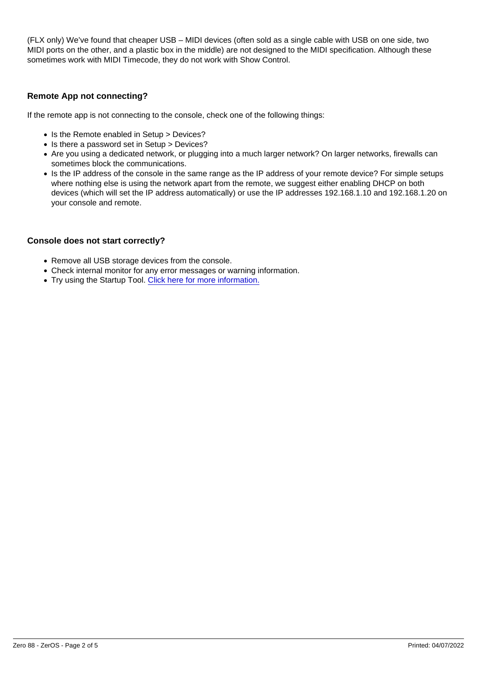(FLX only) We've found that cheaper USB – MIDI devices (often sold as a single cable with USB on one side, two MIDI ports on the other, and a plastic box in the middle) are not designed to the MIDI specification. Although these sometimes work with MIDI Timecode, they do not work with Show Control.

#### Remote App not connecting?

If the remote app is not connecting to the console, check one of the following things:

- Is the Remote enabled in Setup > Devices?
- Is there a password set in Setup > Devices?
- Are you using a dedicated network, or plugging into a much larger network? On larger networks, firewalls can sometimes block the communications.
- Is the IP address of the console in the same range as the IP address of your remote device? For simple setups where nothing else is using the network apart from the remote, we suggest either enabling DHCP on both devices (which will set the IP address automatically) or use the IP addresses 192.168.1.10 and 192.168.1.20 on your console and remote.

#### Console does not start correctly?

- Remove all USB storage devices from the console.
- Check internal monitor for any error messages or warning information.
- Try using the Startup Tool. [Click here for more information.](/manuals/zeros/trouble-shooting/zeros-startup-tool)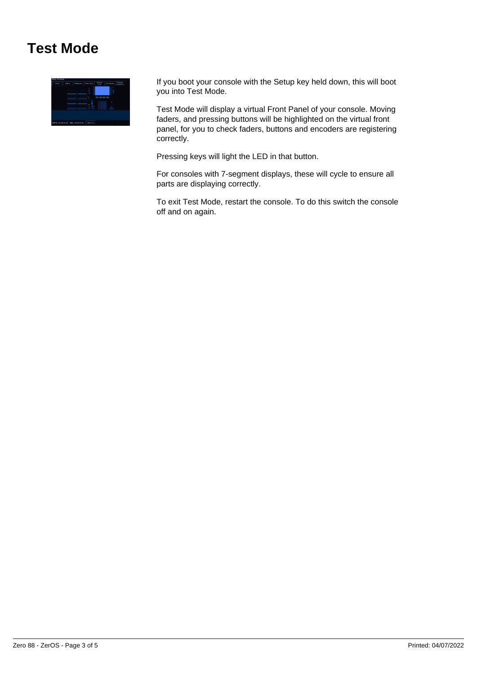### **Test Mode**



If you boot your console with the Setup key held down, this will boot you into Test Mode.

Test Mode will display a virtual Front Panel of your console. Moving faders, and pressing buttons will be highlighted on the virtual front panel, for you to check faders, buttons and encoders are registering correctly.

Pressing keys will light the LED in that button.

For consoles with 7-segment displays, these will cycle to ensure all parts are displaying correctly.

To exit Test Mode, restart the console. To do this switch the console off and on again.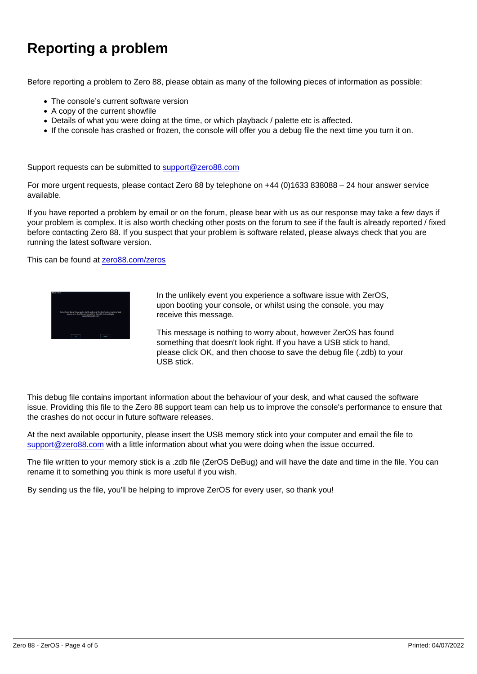## Reporting a problem

Before reporting a problem to Zero 88, please obtain as many of the following pieces of information as possible:

- The console's current software version
- A copy of the current showfile
- Details of what you were doing at the time, or which playback / palette etc is affected.
- If the console has crashed or frozen, the console will offer you a debug file the next time you turn it on.

Support requests can be submitted to [support@zero88.com](mailto:support@zero88.com)

For more urgent requests, please contact Zero 88 by telephone on +44 (0)1633 838088 – 24 hour answer service available.

If you have reported a problem by email or on the forum, please bear with us as our response may take a few days if your problem is complex. It is also worth checking other posts on the forum to see if the fault is already reported / fixed before contacting Zero 88. If you suspect that your problem is software related, please always check that you are running the latest software version.

This can be found at [zero88.com/zeros](/zeros)

In the unlikely event you experience a software issue with ZerOS, upon booting your console, or whilst using the console, you may receive this message.

This message is nothing to worry about, however ZerOS has found something that doesn't look right. If you have a USB stick to hand, please click OK, and then choose to save the debug file (.zdb) to your USB stick.

This debug file contains important information about the behaviour of your desk, and what caused the software issue. Providing this file to the Zero 88 support team can help us to improve the console's performance to ensure that the crashes do not occur in future software releases.

At the next available opportunity, please insert the USB memory stick into your computer and email the file to [support@zero88.com](mailto:support@zero88.com?subject=Debug file) with a little information about what you were doing when the issue occurred.

The file written to your memory stick is a .zdb file (ZerOS DeBug) and will have the date and time in the file. You can rename it to something you think is more useful if you wish.

By sending us the file, you'll be helping to improve ZerOS for every user, so thank you!